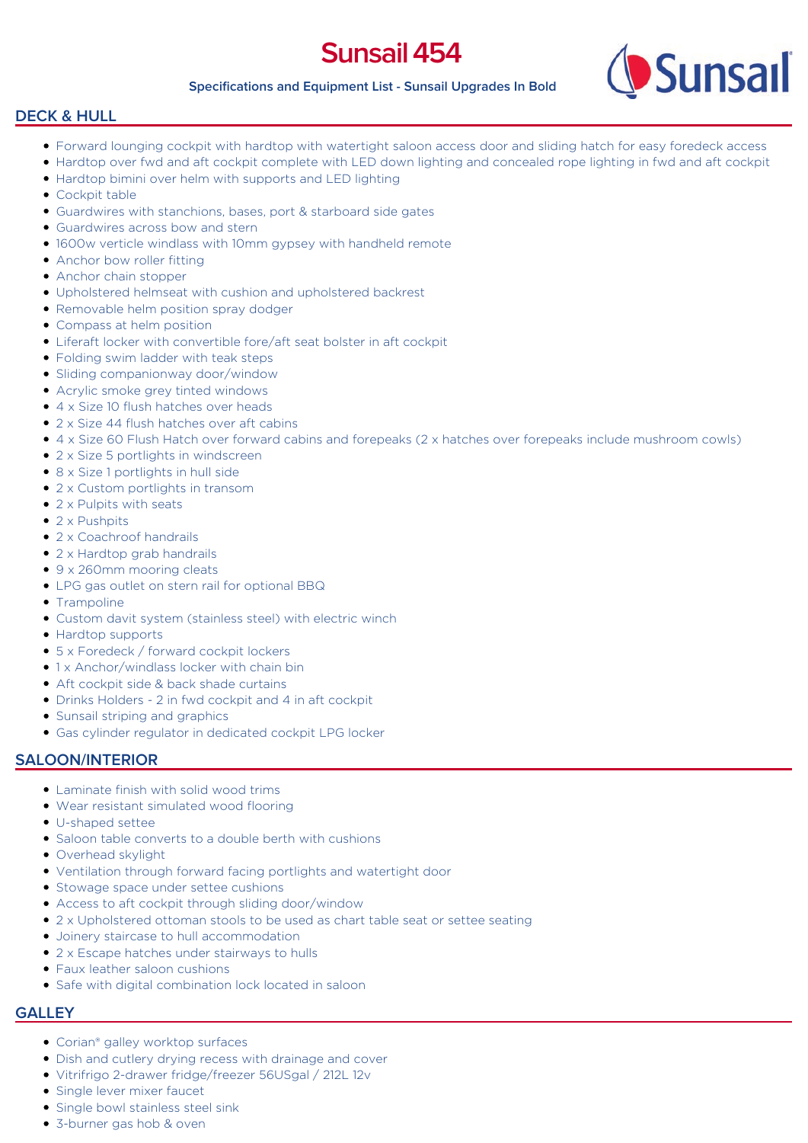# **Sunsail 454**

#### **Specifications and Equipment List - Sunsail Upgrades In Bold**



#### **DECK & HULL**

- Forward lounging cockpit with hardtop with watertight saloon access door and sliding hatch for easy foredeck access
- Hardtop over fwd and aft cockpit complete with LED down lighting and concealed rope lighting in fwd and aft cockpit
- Hardtop bimini over helm with supports and LED lighting
- Cockpit table
- Guardwires with stanchions, bases, port & starboard side gates
- Guardwires across bow and stern
- 1600w verticle windlass with 10mm gypsey with handheld remote
- Anchor bow roller fitting
- Anchor chain stopper
- Upholstered helmseat with cushion and upholstered backrest
- Removable helm position spray dodger
- Compass at helm position
- Liferaft locker with convertible fore/aft seat bolster in aft cockpit
- Folding swim ladder with teak steps
- Sliding companionway door/window
- Acrylic smoke grey tinted windows
- 4 x Size 10 flush hatches over heads
- 2 x Size 44 flush hatches over aft cabins
- 4 x Size 60 Flush Hatch over forward cabins and forepeaks (2 x hatches over forepeaks include mushroom cowls)
- 2 x Size 5 portlights in windscreen
- 8 x Size 1 portlights in hull side
- 2 x Custom portlights in transom
- $\bullet$  2 x Pulpits with seats
- 2 x Pushpits
- 2 x Coachroof handrails
- 2 x Hardtop grab handrails
- 9 x 260mm mooring cleats
- LPG gas outlet on stern rail for optional BBQ
- Trampoline
- Custom davit system (stainless steel) with electric winch
- Hardtop supports
- 5 x Foredeck / forward cockpit lockers
- 1 x Anchor/windlass locker with chain bin
- Aft cockpit side & back shade curtains
- Drinks Holders 2 in fwd cockpit and 4 in aft cockpit
- Sunsail striping and graphics
- Gas cylinder regulator in dedicated cockpit LPG locker

#### **SALOON/INTERIOR**

- Laminate finish with solid wood trims
- Wear resistant simulated wood flooring
- U-shaped settee
- Saloon table converts to a double berth with cushions
- Overhead skylight
- Ventilation through forward facing portlights and watertight door
- Stowage space under settee cushions
- Access to aft cockpit through sliding door/window
- 2 x Upholstered ottoman stools to be used as chart table seat or settee seating
- Joinery staircase to hull accommodation
- 2 x Escape hatches under stairways to hulls
- Faux leather saloon cushions
- Safe with digital combination lock located in saloon

#### **GALLEY**

- Corian® galley worktop surfaces
- Dish and cutlery drying recess with drainage and cover
- Vitrifrigo 2-drawer fridge/freezer 56USgal / 212L 12v
- Single lever mixer faucet
- Single bowl stainless steel sink
- 3-burner gas hob & oven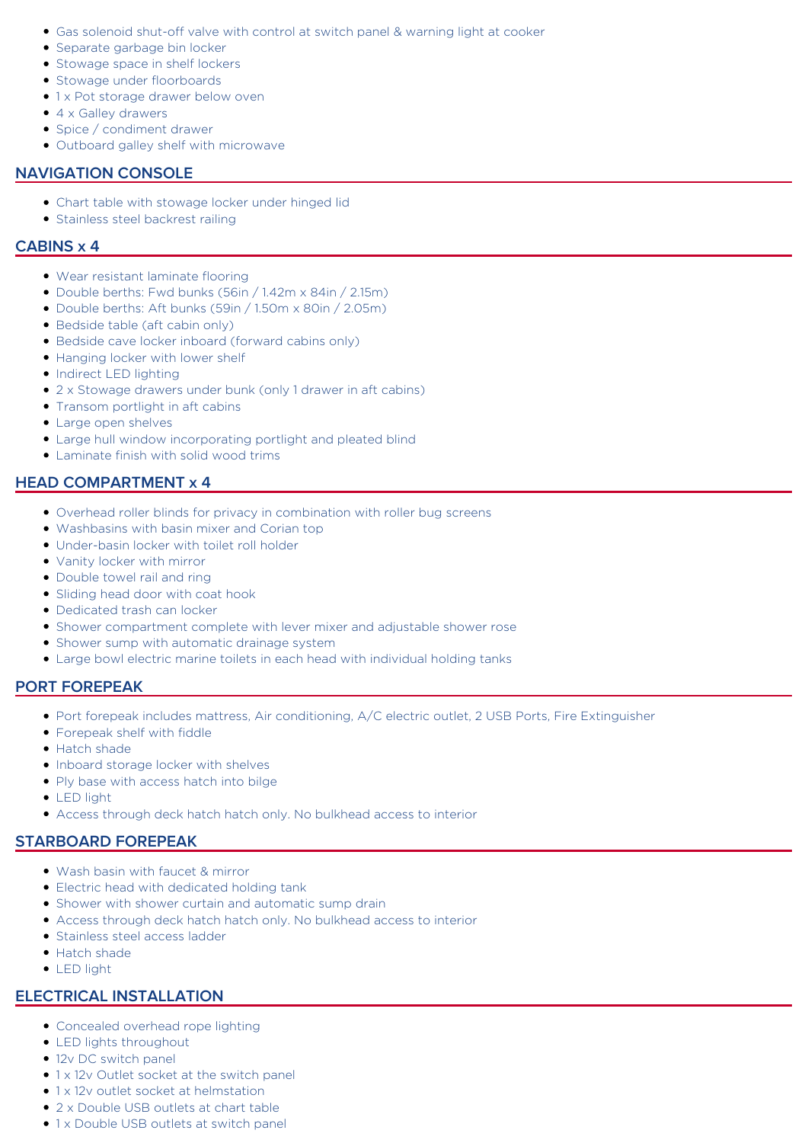- Gas solenoid shut-off valve with control at switch panel & warning light at cooker
- Separate garbage bin locker
- Stowage space in shelf lockers
- Stowage under floorboards
- 1 x Pot storage drawer below oven
- 4 x Galley drawers
- Spice / condiment drawer
- Outboard galley shelf with microwave

## **NAVIGATION CONSOLE**

- Chart table with stowage locker under hinged lid
- **Stainless steel backrest railing**

#### **CABINS x 4**

- Wear resistant laminate flooring
- Double berths: Fwd bunks (56in / 1.42m x 84in / 2.15m)
- Double berths: Aft bunks (59in / 1.50m x 80in / 2.05m)
- Bedside table (aft cabin only)
- Bedside cave locker inboard (forward cabins only)
- Hanging locker with lower shelf
- Indirect LED lighting
- 2 x Stowage drawers under bunk (only 1 drawer in aft cabins)
- Transom portlight in aft cabins
- Large open shelves
- Large hull window incorporating portlight and pleated blind
- Laminate finish with solid wood trims

## **HEAD COMPARTMENT x 4**

- Overhead roller blinds for privacy in combination with roller bug screens
- Washbasins with basin mixer and Corian top
- Under-basin locker with toilet roll holder
- Vanity locker with mirror
- Double towel rail and ring
- Sliding head door with coat hook
- Dedicated trash can locker
- Shower compartment complete with lever mixer and adjustable shower rose
- Shower sump with automatic drainage system
- Large bowl electric marine toilets in each head with individual holding tanks

## **PORT FOREPEAK**

- Port forepeak includes mattress, Air conditioning, A/C electric outlet, 2 USB Ports, Fire Extinguisher
- Forepeak shelf with fiddle
- Hatch shade
- Inboard storage locker with shelves
- Ply base with access hatch into bilge
- **LED light**
- Access through deck hatch hatch only. No bulkhead access to interior

## **STARBOARD FOREPEAK**

- Wash basin with faucet & mirror
- Electric head with dedicated holding tank
- Shower with shower curtain and automatic sump drain
- Access through deck hatch hatch only. No bulkhead access to interior
- Stainless steel access ladder
- Hatch shade
- LED light

## **ELECTRICAL INSTALLATION**

- Concealed overhead rope lighting
- LED lights throughout
- 12v DC switch panel
- 1 x 12v Outlet socket at the switch panel
- 1 x 12v outlet socket at helmstation
- 2 x Double USB outlets at chart table
- 1 x Double USB outlets at switch panel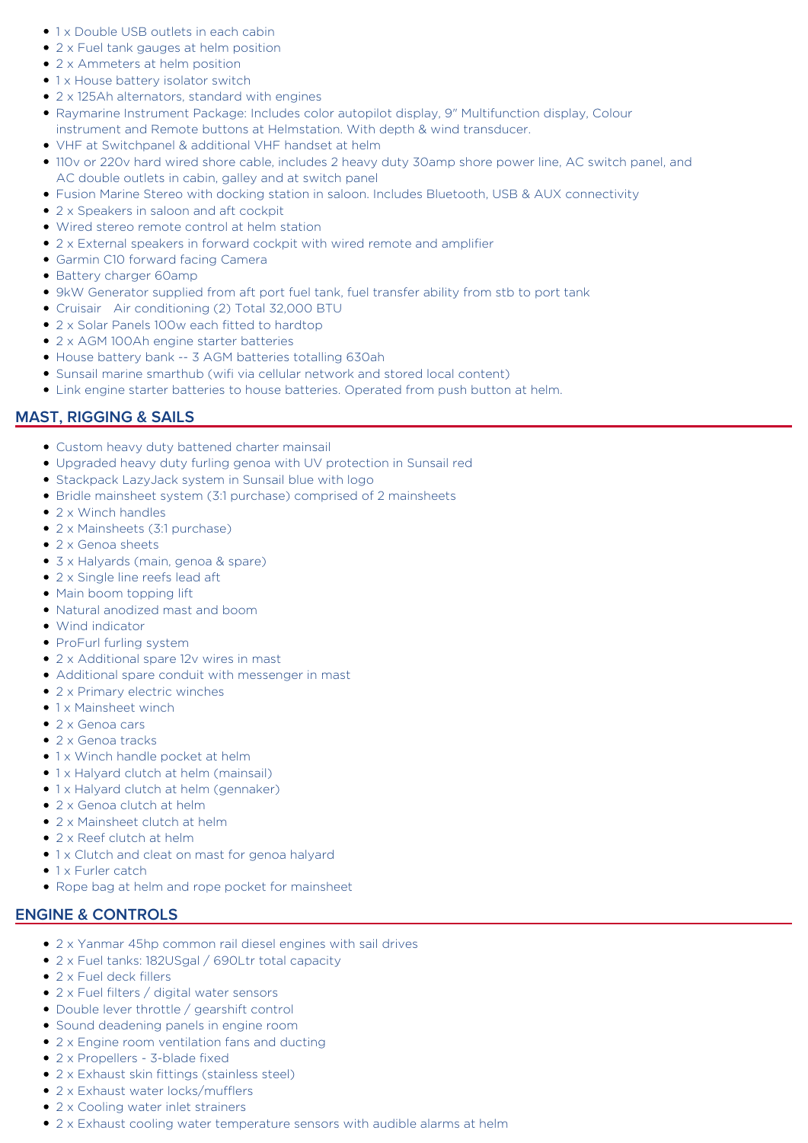- 1 x Double USB outlets in each cabin
- 2 x Fuel tank gauges at helm position
- 2 x Ammeters at helm position
- 1 x House battery isolator switch
- 2 x 125Ah alternators, standard with engines
- Raymarine Instrument Package: Includes color autopilot display, 9" Multifunction display, Colour instrument and Remote buttons at Helmstation. With depth & wind transducer.
- VHF at Switchpanel & additional VHF handset at helm
- 110v or 220v hard wired shore cable, includes 2 heavy duty 30amp shore power line, AC switch panel, and AC double outlets in cabin, galley and at switch panel
- Fusion Marine Stereo with docking station in saloon. Includes Bluetooth, USB & AUX connectivity
- 2 x Speakers in saloon and aft cockpit
- Wired stereo remote control at helm station
- 2 x External speakers in forward cockpit with wired remote and amplifier
- Garmin C10 forward facing Camera
- Battery charger 60amp
- 9kW Generator supplied from aft port fuel tank, fuel transfer ability from stb to port tank
- Cruisair Air conditioning (2) Total 32,000 BTU
- 2 x Solar Panels 100w each fitted to hardtop
- 2 x AGM 100Ah engine starter batteries
- House battery bank -- 3 AGM batteries totalling 630ah
- Sunsail marine smarthub (wifi via cellular network and stored local content)
- Link engine starter batteries to house batteries. Operated from push button at helm.

# **MAST, RIGGING & SAILS**

- Custom heavy duty battened charter mainsail
- Upgraded heavy duty furling genoa with UV protection in Sunsail red
- Stackpack LazyJack system in Sunsail blue with logo
- Bridle mainsheet system (3:1 purchase) comprised of 2 mainsheets
- 2 x Winch handles
- 2 x Mainsheets (3:1 purchase)
- 2 x Genoa sheets
- 3 x Halyards (main, genoa & spare)
- 2 x Single line reefs lead aft
- Main boom topping lift
- Natural anodized mast and boom
- Wind indicator
- ProFurl furling system
- 2 x Additional spare 12v wires in mast
- Additional spare conduit with messenger in mast
- 2 x Primary electric winches
- $\bullet$  1 x Mainsheet winch
- 2 x Genoa cars
- 2 x Genoa tracks
- 1 x Winch handle pocket at helm
- 1 x Halyard clutch at helm (mainsail)
- 1 x Halyard clutch at helm (gennaker)
- 2 x Genoa clutch at helm
- 2 x Mainsheet clutch at helm
- 2 x Reef clutch at helm
- 1 x Clutch and cleat on mast for genoa halyard
- $\bullet$  1 x Furler catch
- Rope bag at helm and rope pocket for mainsheet

# **ENGINE & CONTROLS**

- 2 x Yanmar 45hp common rail diesel engines with sail drives
- 2 x Fuel tanks: 182USgal / 690Ltr total capacity
- 2 x Fuel deck fillers
- 2 x Fuel filters / digital water sensors
- Double lever throttle / gearshift control
- **Sound deadening panels in engine room**
- 2 x Engine room ventilation fans and ducting
- 2 x Propellers 3-blade fixed
- 2 x Exhaust skin fittings (stainless steel)
- $\bullet$  2 x Exhaust water locks/mufflers
- 2 x Cooling water inlet strainers
- 2 x Exhaust cooling water temperature sensors with audible alarms at helm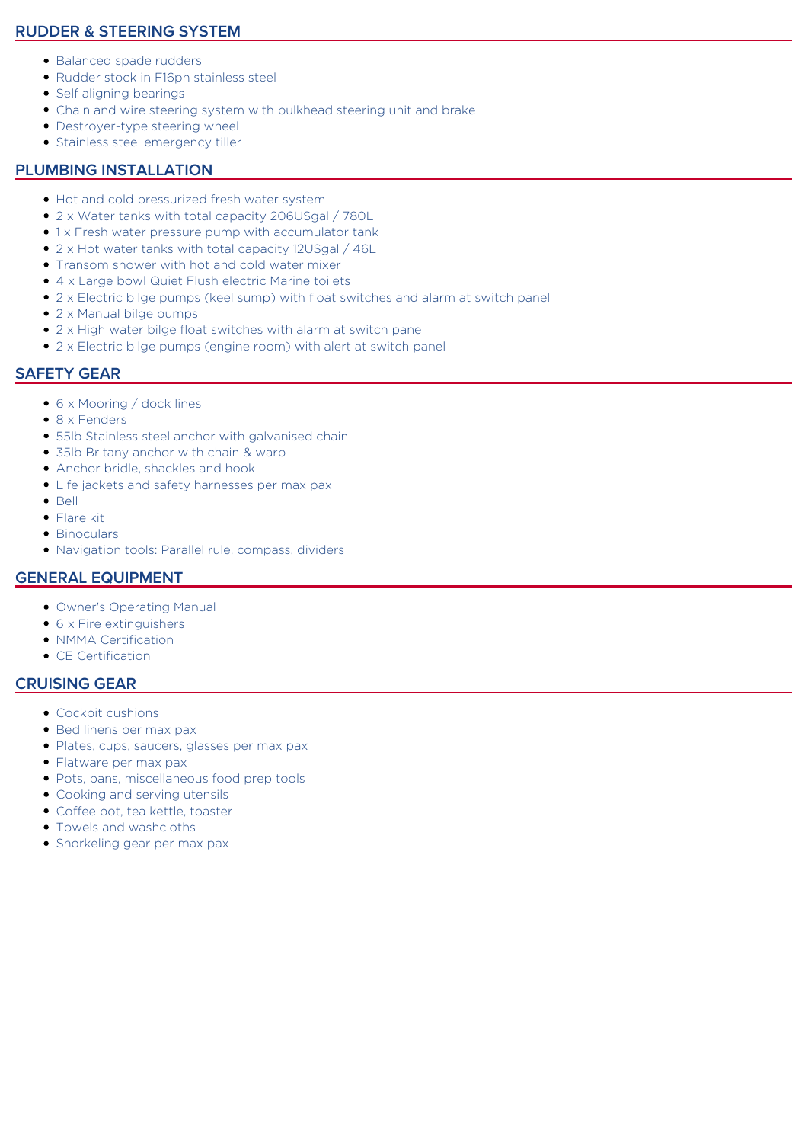# **RUDDER & STEERING SYSTEM**

- Balanced spade rudders
- Rudder stock in F16ph stainless steel
- Self aligning bearings
- Chain and wire steering system with bulkhead steering unit and brake
- Destroyer-type steering wheel
- **Stainless steel emergency tiller**

## **PLUMBING INSTALLATION**

- Hot and cold pressurized fresh water system
- 2 x Water tanks with total capacity 206USgal / 780L
- 1 x Fresh water pressure pump with accumulator tank
- 2 x Hot water tanks with total capacity 12USgal / 46L
- Transom shower with hot and cold water mixer
- 4 x Large bowl Quiet Flush electric Marine toilets
- 2 x Electric bilge pumps (keel sump) with float switches and alarm at switch panel
- 2 x Manual bilge pumps
- 2 x High water bilge float switches with alarm at switch panel
- 2 x Electric bilge pumps (engine room) with alert at switch panel

# **SAFETY GEAR**

- 6 x Mooring / dock lines
- 8 x Fenders
- 55lb Stainless steel anchor with galvanised chain
- 35lb Britany anchor with chain & warp
- Anchor bridle, shackles and hook
- Life jackets and safety harnesses per max pax
- $\bullet$  Bell
- Flare kit
- Binoculars
- Navigation tools: Parallel rule, compass, dividers

## **GENERAL EQUIPMENT**

- Owner's Operating Manual
- 6 x Fire extinguishers
- NMMA Certification
- CE Certification

# **CRUISING GEAR**

- Cockpit cushions
- Bed linens per max pax
- Plates, cups, saucers, glasses per max pax
- Flatware per max pax
- Pots, pans, miscellaneous food prep tools
- Cooking and serving utensils
- Coffee pot, tea kettle, toaster
- Towels and washcloths
- Snorkeling gear per max pax